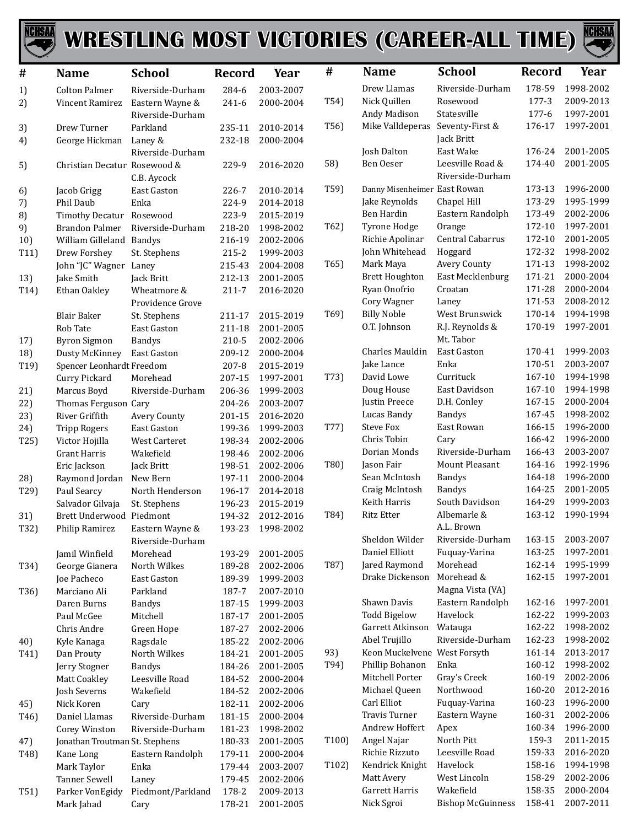

## WRESTLING MOST VICTORIES (CAREER-ALL TIME)



| $\#$              | <b>Name</b>                            | <b>School</b>               | Record           | Year                   | #                  | <b>Name</b>                       | <b>School</b>              | <b>Record</b>    | Year                   |
|-------------------|----------------------------------------|-----------------------------|------------------|------------------------|--------------------|-----------------------------------|----------------------------|------------------|------------------------|
| 1)                | <b>Colton Palmer</b>                   | Riverside-Durham            | 284-6            | 2003-2007              |                    | Drew Llamas                       | Riverside-Durham           | 178-59           | 1998-2002              |
| 2)                | Vincent Ramirez                        | Eastern Wayne &             | 241-6            | 2000-2004              | T54)               | Nick Quillen                      | Rosewood                   | 177-3            | 2009-2013              |
|                   |                                        | Riverside-Durham            |                  |                        |                    | Andy Madison                      | Statesville                | 177-6            | 1997-2001              |
| 3)                | Drew Turner                            | Parkland                    | 235-11           | 2010-2014              | T56)               | Mike Valldeperas                  | Seventy-First &            | 176-17           | 1997-2001              |
| 4)                | George Hickman                         | Laney &                     | 232-18           | 2000-2004              |                    |                                   | Jack Britt                 |                  |                        |
|                   |                                        | Riverside-Durham            |                  |                        |                    | Josh Dalton                       | East Wake                  | 176-24           | 2001-2005              |
| 5)                | Christian Decatur Rosewood &           |                             | 229-9            | 2016-2020              | 58)                | Ben Oeser                         | Leesville Road &           | 174-40           | 2001-2005              |
|                   |                                        | C.B. Aycock                 |                  |                        |                    |                                   | Riverside-Durham           |                  |                        |
| 6)                | Jacob Grigg                            | East Gaston                 | 226-7            | 2010-2014              | T59)               | Danny Misenheimer East Rowan      |                            | 173-13           | 1996-2000              |
| 7)                | Phil Daub                              | Enka                        | 224-9            | 2014-2018              |                    | Jake Reynolds                     | Chapel Hill                | 173-29           | 1995-1999              |
| 8)                | <b>Timothy Decatur</b>                 | Rosewood                    | 223-9            | 2015-2019              |                    | Ben Hardin                        | Eastern Randolph           | 173-49           | 2002-2006              |
| 9)                | <b>Brandon Palmer</b>                  | Riverside-Durham            | 218-20           | 1998-2002              | T62)               | Tyrone Hodge                      | Orange                     | 172-10           | 1997-2001              |
| 10)               | William Gilleland                      | Bandys                      | 216-19           | 2002-2006              |                    | Richie Apolinar                   | Central Cabarrus           | 172-10           | 2001-2005              |
| T11)              | Drew Forshey                           | St. Stephens                | $215 - 2$        | 1999-2003              |                    | John Whitehead                    | Hoggard                    | 172-32           | 1998-2002              |
|                   | John "JC" Wagner Laney                 |                             | 215-43           | 2004-2008              | T65)               | Mark Maya                         | Avery County               | 171-13           | 1998-2002              |
| 13)               | Jake Smith                             | Jack Britt                  | 212-13           | 2001-2005              |                    | <b>Brett Houghton</b>             | East Mecklenburg           | 171-21           | 2000-2004              |
| T14)              | Ethan Oakley                           | Wheatmore &                 | 211-7            | 2016-2020              |                    | Ryan Onofrio                      | Croatan                    | 171-28           | 2000-2004              |
|                   |                                        | Providence Grove            |                  |                        |                    | Cory Wagner                       | Laney                      | 171-53           | 2008-2012              |
|                   | <b>Blair Baker</b>                     | St. Stephens                | 211-17           | 2015-2019              | T69)               | <b>Billy Noble</b>                | West Brunswick             | 170-14           | 1994-1998              |
|                   | Rob Tate                               | East Gaston                 | 211-18           | 2001-2005              |                    | O.T. Johnson                      | R.J. Reynolds &            | 170-19           | 1997-2001              |
| 17)               | <b>Byron Sigmon</b>                    | <b>Bandys</b>               | 210-5            | 2002-2006              |                    |                                   | Mt. Tabor                  |                  |                        |
| 18)               | Dusty McKinney                         | East Gaston                 | 209-12           | 2000-2004              |                    | Charles Mauldin                   | East Gaston<br>Enka        | 170-41<br>170-51 | 1999-2003<br>2003-2007 |
| T19)              | Spencer Leonhardt Freedom              |                             | 207-8            | 2015-2019              |                    | Jake Lance<br>David Lowe          | Currituck                  | 167-10           | 1994-1998              |
|                   | Curry Pickard                          | Morehead                    | 207-15           | 1997-2001              | T73)               | Doug House                        | East Davidson              | 167-10           | 1994-1998              |
| 21)               | Marcus Boyd                            | Riverside-Durham            | 206-36           | 1999-2003              |                    | Justin Preece                     | D.H. Conley                | 167-15           | 2000-2004              |
| 22)<br>23)        | Thomas Ferguson Cary<br>River Griffith |                             | 204-26           | 2003-2007<br>2016-2020 |                    | Lucas Bandy                       | <b>Bandys</b>              | 167-45           | 1998-2002              |
| 24)               | <b>Tripp Rogers</b>                    | Avery County<br>East Gaston | 201-15<br>199-36 | 1999-2003              | T77)               | <b>Steve Fox</b>                  | East Rowan                 | 166-15           | 1996-2000              |
| T25)              | Victor Hojilla                         | West Carteret               | 198-34           | 2002-2006              |                    | Chris Tobin                       | Cary                       | 166-42           | 1996-2000              |
|                   | <b>Grant Harris</b>                    | Wakefield                   | 198-46           | 2002-2006              |                    | Dorian Monds                      | Riverside-Durham           | 166-43           | 2003-2007              |
|                   | Eric Jackson                           | Jack Britt                  | 198-51           | 2002-2006              | T80)               | Jason Fair                        | Mount Pleasant             | 164-16           | 1992-1996              |
| 28)               | Raymond Jordan                         | New Bern                    | 197-11           | 2000-2004              |                    | Sean McIntosh                     | <b>Bandys</b>              | 164-18           | 1996-2000              |
| T29)              | Paul Searcy                            | North Henderson             | 196-17           | 2014-2018              |                    | Craig McIntosh                    | <b>Bandys</b>              | 164-25           | 2001-2005              |
|                   | Salvador Gilvaja                       | St. Stephens                | 196-23           | 2015-2019              |                    | Keith Harris                      | South Davidson             | 164-29           | 1999-2003              |
| 31)               | Brett Underwood Piedmont               |                             | 194-32           | 2012-2016              | T84)               | Ritz Etter                        | Albemarle &                | 163-12           | 1990-1994              |
| T32)              | Philip Ramirez                         | Eastern Wayne &             | 193-23           | 1998-2002              |                    |                                   | A.L. Brown                 |                  |                        |
|                   |                                        | Riverside-Durham            |                  |                        |                    | Sheldon Wilder                    | Riverside-Durham           | 163-15           | 2003-2007              |
|                   | Jamil Winfield                         | Morehead                    | 193-29           | 2001-2005              |                    | Daniel Elliott                    | Fuquay-Varina              | 163-25           | 1997-2001              |
| T34)              | George Gianera                         | North Wilkes                | 189-28           | 2002-2006              | T87)               | Jared Raymond                     | Morehead                   | 162-14           | 1995-1999              |
|                   | Joe Pacheco                            | East Gaston                 | 189-39           | 1999-2003              |                    | Drake Dickenson                   | Morehead &                 | 162-15           | 1997-2001              |
| T36)              | Marciano Ali                           | Parkland                    | 187-7            | 2007-2010              |                    |                                   | Magna Vista (VA)           |                  |                        |
|                   | Daren Burns                            | <b>Bandys</b>               | 187-15           | 1999-2003              |                    | Shawn Davis                       | Eastern Randolph           | 162-16           | 1997-2001              |
|                   | Paul McGee                             | Mitchell                    | 187-17           | 2001-2005              |                    | <b>Todd Bigelow</b>               | Havelock                   | 162-22           | 1999-2003              |
|                   | Chris Andre                            | Green Hope                  | 187-27           | 2002-2006              |                    | Garrett Atkinson                  | Watauga                    | 162-22           | 1998-2002              |
| 40)               | Kyle Kanaga                            | Ragsdale                    | 185-22           | 2002-2006              |                    | Abel Trujillo                     | Riverside-Durham           | 162-23           | 1998-2002              |
| T41)              | Dan Prouty                             | North Wilkes                | 184-21           | 2001-2005              | 93)                | Keon Muckelvene West Forsyth      |                            | 161-14           | 2013-2017              |
|                   | Jerry Stogner                          | <b>Bandys</b>               | 184-26           | 2001-2005              | T94)               | Phillip Bohanon                   | Enka                       | 160-12           | 1998-2002              |
|                   | Matt Coakley                           | Leesville Road              | 184-52           | 2000-2004              |                    | Mitchell Porter                   | Gray's Creek               | 160-19           | 2002-2006              |
|                   | Josh Severns                           | Wakefield                   | 184-52           | 2002-2006              |                    | Michael Queen                     | Northwood                  | 160-20           | 2012-2016              |
| 45)               | Nick Koren                             | Cary                        | 182-11           | 2002-2006              |                    | Carl Elliot                       | Fuquay-Varina              | 160-23           | 1996-2000              |
| T <sub>46</sub> ) | Daniel Llamas                          | Riverside-Durham            | 181-15           | 2000-2004              |                    | <b>Travis Turner</b>              | Eastern Wayne              | 160-31           | 2002-2006              |
|                   | Corey Winston                          | Riverside-Durham            | 181-23           | 1998-2002              |                    | Andrew Hoffert                    | Apex                       | 160-34           | 1996-2000              |
| 47)               | Jonathan Troutman St. Stephens         |                             | 180-33           | 2001-2005              | T <sub>100</sub> ) | Angel Najar                       | North Pitt                 | 159-3            | 2011-2015              |
| T48)              | Kane Long                              | Eastern Randolph            | 179-11           | 2000-2004              |                    | Richie Rizzuto<br>Kendrick Knight | Leesville Road<br>Havelock | 159-33<br>158-16 | 2016-2020<br>1994-1998 |
|                   | Mark Taylor                            | Enka                        | 179-44           | 2003-2007              | T <sub>102</sub> ) | Matt Avery                        | West Lincoln               | 158-29           | 2002-2006              |
|                   | Tanner Sewell                          | Laney                       | 179-45           | 2002-2006              |                    | Garrett Harris                    | Wakefield                  | 158-35           | 2000-2004              |
| T51)              | Parker VonEgidy                        | Piedmont/Parkland           | 178-2            | 2009-2013              |                    | Nick Sgroi                        | <b>Bishop McGuinness</b>   | 158-41           | 2007-2011              |
|                   | Mark Jahad                             | Cary                        | 178-21           | 2001-2005              |                    |                                   |                            |                  |                        |